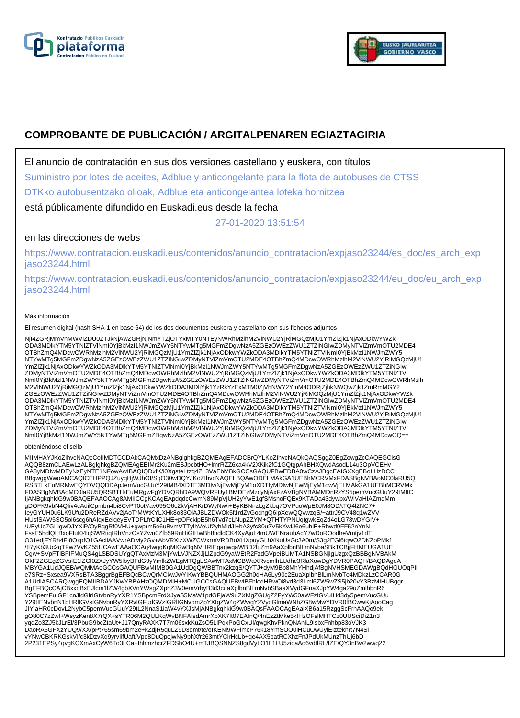



# **COMPROBANTE DE PUBLICACIÓN / ARGITALPENAREN EGIAZTAGIRIA**

El anuncio de contratación en sus dos versiones castellano y euskera, con títulos

Suministro por lotes de aceites, Adblue y anticongelante para la flota de autobuses de CTSS

DTKko autobusentzako olioak, Adblue eta anticongelantea loteka hornitzea

está públicamente difundido en Euskadi.eus desde la fecha

27-01-2020 13:51:54

## en las direcciones de webs

https://www.contratacion.euskadi.eus/contenidos/anuncio\_contratacion/expjaso23244/es\_doc/es\_arch\_exp jaso23244.html

https://www.contratacion.euskadi.eus/contenidos/anuncio\_contratacion/expjaso23244/eu\_doc/eu\_arch\_exp jaso23244.html

### Más información

El resumen digital (hash SHA-1 en base 64) de los dos documentos euskera y castellano con sus ficheros adjuntos

NjI4ZGRjMmVhMWVIZDU0ZTJkNjAwZGRjNjNmYTZjOTYxMTY0NTEyNWRhMzlhM2VlNWU2YjRiMGQzMjU1YmZlZjk1NjAxODkwYWZk<br>ODA3MDlkYTM5YTNIZTVlNmI0YjBkMzI1NWJmZWY5NTYwMTg5MGFmZDgwNzA5ZGEzOWEzZWU1ZTZiNGIwZDMyNTViZmVmOTU2MDE4 OTBhZmQ4MDcwOWRhMzlhM2VlNWU2YjRiMGQzMjU1YmZlZjk1NjAxODkwYWZkODA3MDlkYTM5YTNlZTVlNml0YjBkMzI1NWJmZWY5<br>NTYwMTg5MGFmZDgwNzA5ZGEzOWEzZWU1ZTZiNGIwZDMyNTViZmVmOTU2MDE4OTBhZmQ4MDcwOWRhMzlhM2VlNWU2YjRiMGQzMjU1 YmZlZjk1NjAxODkwYWZkODA3MDlkYTM5YTNIZTVlNmI0YjBkMzI1NWJmZWY5NTYwMTg5MGFmZDgwNzA5ZGEzOWEzZWU1ZTZiNGIw<br>ZDMyNTViZmVmOTU2MDE4OTBhZmQ4MDcwOWRhMzlhM2VlNWU2YjRiMGQzMjU1YmZlZjk1NjAxODkwYWZkODA3MDlkYTM5YTNIZTVI NmI0YjBkMzI1NWJmZWY5NTYwMTg5MGFmZDgwNzA5ZGEzOWEzZWU1ZTZiNGIwZDMyNTViZmVmOTU2MDE4OTBhZmQ4MDcwOWRhMzlh M2VlNWU2YjRiMGQzMjU1YmZlZjk1NjAxODkwYWZkODA3MDliYjk1YzRkYzExMTM0ZjVhNWY2YmM4ODRjZjhkNWQwZjk1ZmRmMGY2 ZGEzOWEzZWU1ZTZiNGIwZDMyNTViZmVmOTU2MDE4OTBhZmQ4MDcwOWRhMzlhM2VINWU2YjRiMGQzMjU1YmZlZjk1NjAxODkwYWZk<br>ODA3MDlkYTM5YTNIZTVINmI0YjBkMzI1NWJmZWY5NTYwMTg5MGFmZDgwNzA5ZGEzOWEzZWU1ZTZiNGIwZDMyNTViZmVmOTU2MDE4 OTBhZmQ4MDcwOWRhMzlhM2VlNWU2YjRiMGQzMjU1YmZlZjk1NjAxODkwYWZkODA3MDlkYTM5YTNlZTVlNml0YjBkMzI1NWJmZWY5<br>NTYwMTg5MGFmZDgwNzA5ZGEzOWEzZWU1ZTZiNGIwZDMyNTViZmVmOTU2MDE4OTBhZmQ4MDcwOWRhMzlhM2VlNWU2YjRiMGQzMjU1 YmZlZjk1NjAxODkwYWZkODA3MDlkYTM5YTNIZTVlNmI0YjBkMzI1NWJmZWY5NTYwMTg5MGFmZDgwNzA5ZGEzOWEzZWU1ZTZiNGIw<br>ZDMyNTViZmVmOTU2MDE4OTBhZmQ4MDcwOWRhMzlhM2VlNWU2YjRiMGQzMjU1YmZlZjk1NjAxODkwYWZkODA3MDlkYTM5YTNIZTVI NmI0YjBkMzI1NWJmZWY5NTYwMTg5MGFmZDgwNzA5ZGEzOWEzZWU1ZTZiNGIwZDMyNTViZmVmOTU2MDE4OTBhZmQ4MDcwOQ==

#### obteniéndose el sello

MIIMHAYJKoZIhvcNAQcCoIIMDTCCDAkCAQMxDzANBglghkgBZQMEAgEFADCBrQYLKoZIhvcNAQkQAQSggZ0EgZowgZcCAQEGCisG<br>AQQB8zmCLAEwLzALBglghkgBZQMEAgEEIMr2Ku2mESJpcbtHO+lmrRZZ6xa4kV2XKik2fC1GQtgpAhBHXQwdAsodL14u3OpVCEHv GA8yMDIwMDEyNzEyNTE1NFowAwIBAQIQDxfK/i0XgsteLtzq4ZL3VaEbMBkGCCsGAQUFBwEDBA0wCzAJBgcEAIGXXgEBoIIHzDCC B8gwggWwoAMCAQICEHPPQJZuyqHjWJhOI/SqO30wDQYJKoZIhvcNAQELBQAwODELMAkGA1UEBhMCRVMxFDASBgNVBAoMC0laRU5Q RSBTLkEuMRMwEQYDVQQDDApJemVucGUuY29tMB4XDTE3MDIwNjEwMjEyM1oXDTIyMDIwNjEwMjEyM1owVjELMAkGA1UEBhMCRVMx<br>FDASBgNVBAoMC0laRU5QRSBTLkEuMRgwFgYDVQRhDA9WQVRFUy1BMDEzMzcyNjAxFzAVBgNVBAMMDnRzYS5pemVucGUuY29tMIIC ljANBgkqhkiG9w0BAQEFAAOCAg8AMIICCgKCAgEApdqdcCwmN89MpVjUH2yYwE1gfSMsnoFQEx9KTADa43dywbx/WiVaHIAZmdMm<br>gDOFK9vbN4Qliv4cAdilCpmbn4bi8CvPT0otVav095O6c2kVjAHKrDWyNw/i+ByKBNnzLgZkbq7OVPuoWpE0JM8OD/tTQ4l2NC7+ IeyGYUH0u6LK9Ufu2DReRZdAVv2jAoTrMWtKYLXHk8o33OlAJBLZDWOk5f1rdZvGocngQ6ipXewQQvwzqS/+attrJ9CV48q1wZVV HUsfSAW5SO5oi6scg6hAIqxEeiqeyEVTDPLfrCiiC1HE+pOFckipE5h6Tvd7cLNupZZYM+QTHTYPNUqtgwkEqZd4oLG78wDYGIV+ /UEyUcZGLIgwDJYXiP/OyBqgRf0VHU+gwprm5e6uBvmVTTylhVeUf2yhMldJl+bA3yfc80u2V5kXwIJ6e6uhiE+Rhwd9FF52nYnN FssE5hdlQLBxoFIuf04lqSWRtiqIRhVnzOsYZwu0Zfb59RnHiGIHwBh8hdldCK4XyAjuL4mUWENraubAcY7wDoROodheVmtjv1dT O31edjFYRh4FI8OxpfO1GAcilAAVwrADMy2Gv+AbVRXizXWZCWxrmVRDBuXHXpuyGLhXNuUsGc3A0m/S3g2EGl6tqwO2DKZoPMkf<br>/tl7yKb3Uc2qTFw7VvKZ55UCAwEAAaOCAq4wggKqMlGwBgNVHRIEgagwgaWBD2luZm9AaXplbnBlLmNvbaSBkTCBjjFHMEUGA1UE Cgw+SVpFTIBFIFMuQS4gLSBDSUYgQTAxMzM3MjYwLVJNZXJjLlZpdG9yaWEtR2FzdGVpeiBUMTA1NSBGNjIgUzgxQzBBBgNVBAkM<br>OkF2ZGEgZGVsIE1IZGl0ZXJyYW5lbyBFdG9yYmlkZWEgMTQgLSAwMTAxMCBWaXRvcmlhLUdhc3RlaXowDgYDVR0PAQH/BAQDAgeA MBYGA1UdJQEB/wQMMAoGCCsGAQUFBwMIMB0GA1UdDgQWBBTnx2kzqS/QYTJ+dyM9Bp8MhYHhdjAfBgNVHSMEGDAWgBQdHGUOqPII<br>e7SRz+Sxsea9VXRsBTA3BggrBgEFBQcBCwQrMCkwJwYIKwYBBQUHMAOGG2h0dHA6Ly90c2EuaXplbnBlLmNvbTo4MDkzLzCCAR0G A1UdIASCARQwggEQMIIBDAYJKwYBBAHzOQMDMIH+MCUGCCsGAQUFBwIBFhlodHRwOi8vd3d3Lml6ZW5wZS5jb20vY3BzMIHUBggr BgEFBQcCAjCBxxqBxEJlcm1lZW4gbXVnYWsgZXphZ3V0emVrbyB3d3cuaXplbnBlLmNvbSBaaXVydGFnaXJpYW4ga29uZmlhbnR6 YSBpemFuIGF1cnJldGlrIGtvbnRyYXR1YSBpcmFrdXJyaS5MaW1pdGFjaW9uZXMgZGUgZ2FyYW50aWFzIGVuIHd3dy5pemVucGUu<br>Y29tIENvbnN1bHRIIGVsIGNvbnRyYXRvIGFudGVzIGRIIGNvbmZpYXIgZW4gZWwgY2VydGlmaWNhZG8wMwYDVR0fBCwwKjAooCag JIYiaHR0cDovL2NybC5pemVucGUuY29tL2NnaS1iaW4vYXJsMjANBgkqhkiG9w0BAQsFAAOCAgEAaiXB6a15RzggScFrhAAQo9ek<br>gO80C7zZwf+WsyzKen8X7rQX+sYTR06M2QULKqWvBNFAfsdAmrXbXK7lt07EAInQ/4nEzZtMke5kfHzOFslMHTCz0UUSciDiZ1n3 yqqZo3ZJ5kJLrEl/3PbuG9bcZtaUt+J17QnyRAXK7T7m06sxkKuZsO5LlPqxPoGCxUl/qwgKhvPknQNAnIL9isbxFnhbp83oVJK3<br>DaoRA5GFXzYUQ9/XX/pPt765sm69bm2e+kZdjR5quLZ9D3qmt/te/oIKENi9WFlmcP76k18YmSOO0lHCuOwUylEIztekhrt7N4Sl vYNwCBKRKGskVI/c3kDzvXq9yrvIifUaft/Vpo8DuQpojwNy9phXfr263mtYClrHcLb+qe4AX5patRCXhzFnJPdUkMUnzThUj6bD 2P231EPSy4qvgKCXmAxCyW6To3LCa+IhhmzhcrZFDShO4U+mTJBQSNNZS8gdVyLO1L1LU5zioaAo6vdtlRL/fZE/QY3nBw2wwq22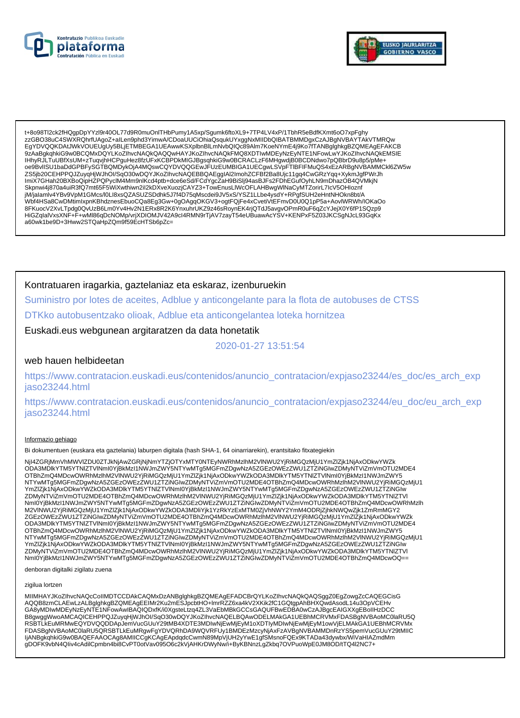



t+8o98Tl2ck2fHQgpDpYYzl9r40OL77d9R0muOnlTHbPumy1A5xp/Sgumk6ftoXL9+7TP4LV4xP/1TbhR5eBdfKXmt6oO7xpFghy zzGBO38uC4SWXRQhrfUAgoZ+alLen9phd3YimwA/CDoaUUCiOhiaQsqukUYxggNxMIIDbQIBATBMMDgxCzAJBgNVBAYTAkVTMRQw EgYDVQQKDAtJWkVOUEUgUy5BLjETMBEGA1UEAwwKSXplbnBlLmNvbQlQc89Alm7KoeNYmE4j9Ko7fTANBglghkgBZQMEAgEFAKCB 9ZAaBgkqhkiG9w0BCQMxDQYLKoZlhvcNAQkQAQQwHAYJKoZlhvcNAQkFMQ8XDTIwMDEyNzEyNTE1NFowLwYJKoZlhvcNAQkEMSIE IHhyRJLTuUBfXsUM+zTuqvjhHCPguHez8fzUFxKCBPDkMIGJBgsqhkiG9w0BCRACLzF6MHgwdjB0BCDNdwo7pQBbrD9u8p5/pMe+ oe9BvlISU1baDdGPBFySGTBQMDykOjA4MQswCQYDVQQGEwJFUzEUMBIGA1UECgwLSVpFTIBFIFMuQS4xEzARBgNVBAMMCkl6ZW5w ZS5jb20CEHPPQJZuyqHjWJhOI/SqO30wDQYJKoZIhvcNAQEBBQAEggIAI2ImohZCFBf2Ba8Ujc11gq4CwGRzYqq+XykmJgfPWrJh<br>ImiX7GHah20BXBoQipHZPQPyclM4Mm9nlKcd4ptb+dce6eSd/FCdYgcZaH9BiSlj94asBJFs2FDhEGufOyhLN9mDhazOB4QVMkjN<br>Skpnwi4j870a4uiR3fQ7 jM/jalamiv4YBv9VpM1GMcs/l0Ll8xsQZASUZSDdhk5J7f4D75qMscdei9JV5xS/YSZ1LLbe4ysdY+RPgfSUH2eHntNHOkn8bt/A org/www.com/www.com/www.com/www.com/www.com/www.com/www.com/www.com/www.com/www.com/www.com/www.com/www.com/www<br>8FKuocV2XvLTpdg0QvUzB6Lm0Yv4Hv2N1ERx8R2K6YnxuhrUKZ9z46sRoynEK4rjQTdJ5avgvOPmR0uF6qZcYJejX0Y6fP1SQzp9 HiGZqlalVxsXNF+F+wMl86qDcNOMp/vrjXDIOMJV42A9cl4RMN9rTjAV7zayT54eUBuawAcYSV+KENPxF5Z03JKCSgNJcL93GqKx a60wk1be9D+3Hww2STQaHpZQm9f59EcHTSb6pZc=

### Kontratuaren iragarkia, gaztelaniaz eta eskaraz, izenburuekin

Suministro por lotes de aceites, Adblue y anticongelante para la flota de autobuses de CTSS

DTKko autobusentzako olioak, Adblue eta anticongelantea loteka hornitzea

Euskadi.eus webgunean argitaratzen da data honetatik

2020-01-27 13:51:54

### web hauen helbideetan

https://www.contratacion.euskadi.eus/contenidos/anuncio\_contratacion/expjaso23244/es\_doc/es\_arch\_exp jaso23244.html

https://www.contratacion.euskadi.eus/contenidos/anuncio\_contratacion/expjaso23244/eu\_doc/eu\_arch\_exp iaso23244.html

#### Informazio gehiago

Bi dokumentuen (euskara eta gaztelania) laburpen digitala (hash SHA-1, 64 oinarriarekin), erantsitako fitxategiekin

Njl4ZGRjMmVhMWVIZDU0ZTJkNjAwZGRjNjNmYTZjOTYxMTY0NTEyNWRhMzlhM2VlNWU2YjRiMGQzMjU1YmZlZjk1NjAxODkwYWZk ODA3MDIkYTM5YTNIZTVINmI0YjBkMzI1NWJmZWY5NTYwMTg5MGFmZDgwNzA5ZGEzOWEzZWU1ZTZiNGIwZDMyNTViZmVmOTU2MDE4 OTBhZmQ4MDcwOWRhMzlhM2VINWU2YjRiMGQzMjU1YmZlZjk1NjAxODkwYWZkODA3MDlkYTM5YTNIZTVlNml0YjBkMzI1NWJmZWY5 NTYwMTg5MGFmZDgwNzA5ZGEzOWEzZWU1ZTZINGIwZDMyNTViZmVmOTU2MDE4OTBhZmQ4MDcwOWRhMzIhM2VINWU2YjRiMGQzMjU1<br>YmZlZjk1NjAxODkwYWZkODA3MDlkYTM5YTNIZTVINmI0YjBkMzI1NWJmZWY5NTYwMTg5MGFmZDgwNzA5ZGEzOWEzZWU1ZTZiNGIw ZDMyNTViZmVmOTU2MDE4OTBhZmQ4MDcwOWRhMzIhM2VINWU2YjRiMGQzMjU1YmZIZjk1NjAxODkwYWZkODA3MDlkYTM5YTNIZTVI Nml0YjBkMzI1NWJmZWY5NTYwMTq5MGFmZDqwNzA5ZGEzOWEzZWU1ZTZiNGlwZDMyNTViZmVmOTU2MDE4OTBhZmQ4MDcwOWRhMzlh M2VINWU2YjRiMGQzMjU1YmZlZjk1NjAxODkwYWZkODA3MDliYjk1YzRkYzExMTM0ZjVhNWY2YmM4ODRjZjhkNWQwZjk1ZmRmMGY2 ZGEzOWEzZWU1ZTZINGIwZDMyNTVIZmVmOTU2MDE4OTBhZmQ4MDcwOWRhMzInM2VINWU2YjRiMGQzMjU1YmZIZjk1NjAxODkwYWZk ODA3MDlkYTM5YTNIZTVINmI0YjBkMzI1NWJmZWY5NTYwMTg5MGFmZDgwNzA5ZGEzOWEzZWU1ZTZiNGIwZDMyNTViZmVmOTU2MDE4 OTBhZmQ4MDcwOWRhMzlhM2VINWU2YjRiMGQzMjU1YmZlZjk1NjAxODkwYWZkODA3MDlkYTM5YTNIZTVlNml0YjBkMzI1NWJmZWY5 ZDMyNTViZmVmOTU2MDE4OTBhZmQ4MDcwOWRhMzIhM2VlNWU2YjRiMGQzMjU1YmZIZjk1NjAxODkwYWZKODA3MDlkYTM5YTNIZTVI Nml0YiBkMzI1NWJmZWY5NTYwMTq5MGFmZDqwNzA5ZGEzOWEzZWU1ZTZiNGlwZDMyNTViZmVmOTU2MDE4OTBhZmQ4MDcwOQ==

denboran digitalki zigilatu zuena

#### zigilua lortzen

MIIMHAYJKoZIhvcNAQcCoIIMDTCCDAkCAQMxDzANBglghkgBZQMEAgEFADCBrQYLKoZIhvcNAQkQAQSggZ0EgZowgZcCAQEGCisG AQQB8zmCLAEwLzALBglghkgBZQMEAgEEIMr2Ku2mESJpcbtHO+ImrRZZ6xa4kV2XKik2fC1GQtgpAhBHXQwdAsodL14u3OpVCEHv GA8yMDIwMDEyNzEyNTE1NFowAwIBAQIQDxfK/i0XgsteLtzq4ZL3VaEbMBkGCCsGAQUFBwEDBA0wCzAJBgcEAIGXXgEBoIIHzDCC B8gwggWwoAMCAQICEHPPQJZuyqHjWJhOI/SqO30wDQYJKoZIhvcNAQELBQAwODELMAkGA1UEBhMCRVMxFDASBgNVBAoMC0laRU5Q RSBTLKEuMRMwEQYDVQQDDApJemVucGUuY29tMB4XDTE3MDIwNjEwMjEyM1oXDTIyMDIwNjEwMjEyM1owVjELMAkGA1UEBhMCRVMx FDASBgNVBAoMC0laRU5QRSBTLkEuMRgwFgYDVQRhDA9WQVRFUy1BMDEzMzcyNjAxFzAVBgNVBAMMDnRzYS5pemVucGUuY29tMIIC<br>IjANBgkqhkiG9w0BAQEFAAOCAg8AMIICCgKCAgEApdqdcCwmN89MpVjUH2yYwE1gfSMsnoFQEx9KTADa43dywbx/WiVaHIAZmdMm gDOFK9vbN4Qliv4cAdilCpmbn4bi8CvPT0otVav095O6c2kVjAHKrDWyNw/i+ByKBNnzLgZkbq7OVPuoWpE0JM8OD/tTQ4l2NC7+